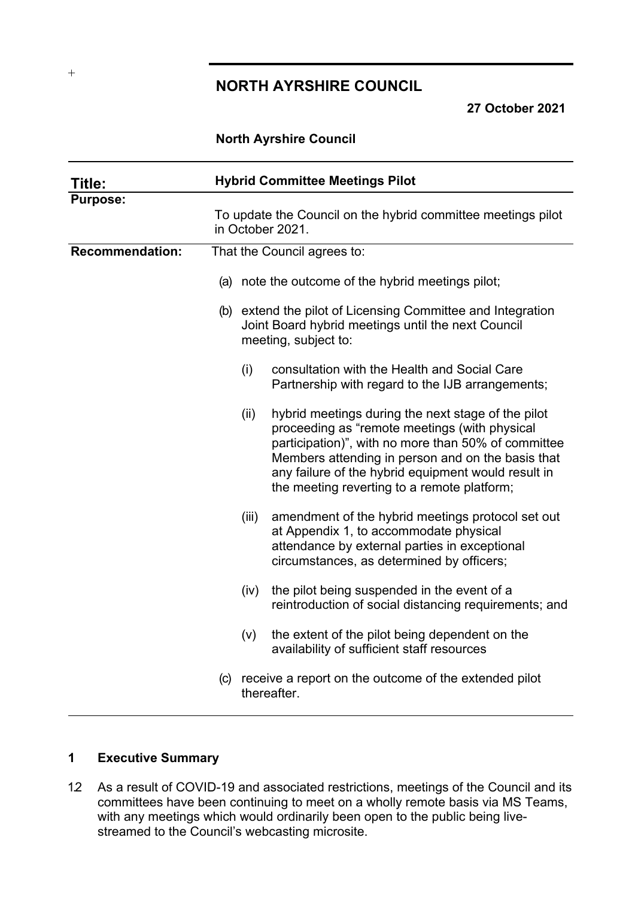# **NORTH AYRSHIRE COUNCIL**

**27 October 2021**

### **North Ayrshire Council**

| Title:                 | <b>Hybrid Committee Meetings Pilot</b> |                             |                                                                                                                                                                                                                                                                                                                       |  |
|------------------------|----------------------------------------|-----------------------------|-----------------------------------------------------------------------------------------------------------------------------------------------------------------------------------------------------------------------------------------------------------------------------------------------------------------------|--|
| <b>Purpose:</b>        |                                        |                             | To update the Council on the hybrid committee meetings pilot<br>in October 2021.                                                                                                                                                                                                                                      |  |
| <b>Recommendation:</b> |                                        | That the Council agrees to: |                                                                                                                                                                                                                                                                                                                       |  |
|                        |                                        |                             | (a) note the outcome of the hybrid meetings pilot;                                                                                                                                                                                                                                                                    |  |
|                        |                                        |                             | (b) extend the pilot of Licensing Committee and Integration<br>Joint Board hybrid meetings until the next Council<br>meeting, subject to:                                                                                                                                                                             |  |
|                        |                                        | (i)                         | consultation with the Health and Social Care<br>Partnership with regard to the IJB arrangements;                                                                                                                                                                                                                      |  |
|                        |                                        | (ii)                        | hybrid meetings during the next stage of the pilot<br>proceeding as "remote meetings (with physical<br>participation)", with no more than 50% of committee<br>Members attending in person and on the basis that<br>any failure of the hybrid equipment would result in<br>the meeting reverting to a remote platform; |  |
|                        |                                        | (iii)                       | amendment of the hybrid meetings protocol set out<br>at Appendix 1, to accommodate physical<br>attendance by external parties in exceptional<br>circumstances, as determined by officers;                                                                                                                             |  |
|                        |                                        | (iv)                        | the pilot being suspended in the event of a<br>reintroduction of social distancing requirements; and                                                                                                                                                                                                                  |  |
|                        |                                        | (v)                         | the extent of the pilot being dependent on the<br>availability of sufficient staff resources                                                                                                                                                                                                                          |  |
|                        |                                        |                             | (c) receive a report on the outcome of the extended pilot<br>thereafter.                                                                                                                                                                                                                                              |  |

# **1 Executive Summary**

1.2 As a result of COVID-19 and associated restrictions, meetings of the Council and its committees have been continuing to meet on a wholly remote basis via MS Teams, with any meetings which would ordinarily been open to the public being livestreamed to the Council's webcasting microsite.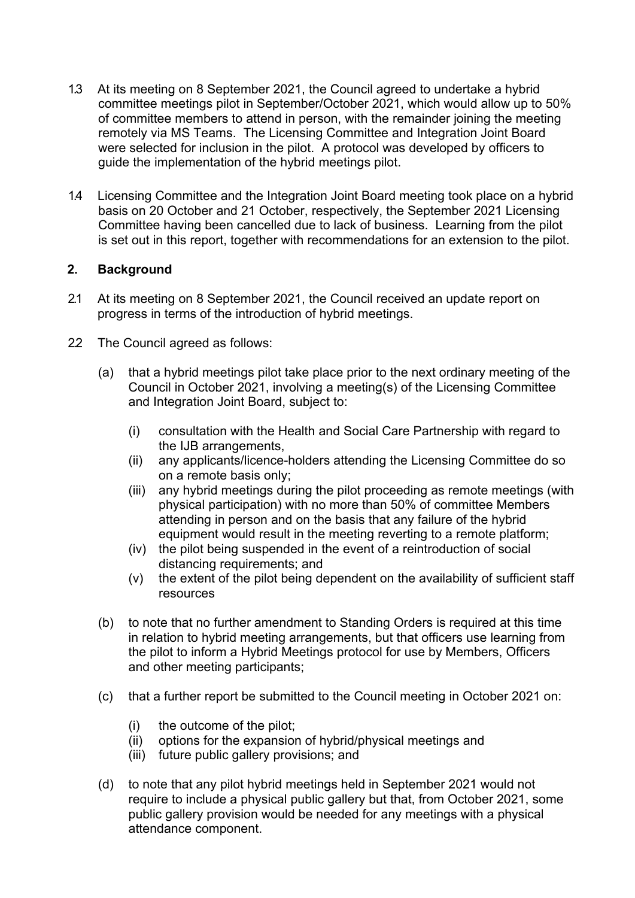- 1.3 At its meeting on 8 September 2021, the Council agreed to undertake a hybrid committee meetings pilot in September/October 2021, which would allow up to 50% of committee members to attend in person, with the remainder joining the meeting remotely via MS Teams. The Licensing Committee and Integration Joint Board were selected for inclusion in the pilot. A protocol was developed by officers to guide the implementation of the hybrid meetings pilot.
- 1.4 Licensing Committee and the Integration Joint Board meeting took place on a hybrid basis on 20 October and 21 October, respectively, the September 2021 Licensing Committee having been cancelled due to lack of business. Learning from the pilot is set out in this report, together with recommendations for an extension to the pilot.

# **2. Background**

- 2.1 At its meeting on 8 September 2021, the Council received an update report on progress in terms of the introduction of hybrid meetings.
- 2.2 The Council agreed as follows:
	- (a) that a hybrid meetings pilot take place prior to the next ordinary meeting of the Council in October 2021, involving a meeting(s) of the Licensing Committee and Integration Joint Board, subject to:
		- (i) consultation with the Health and Social Care Partnership with regard to the IJB arrangements,
		- (ii) any applicants/licence-holders attending the Licensing Committee do so on a remote basis only;
		- (iii) any hybrid meetings during the pilot proceeding as remote meetings (with physical participation) with no more than 50% of committee Members attending in person and on the basis that any failure of the hybrid equipment would result in the meeting reverting to a remote platform;
		- (iv) the pilot being suspended in the event of a reintroduction of social distancing requirements; and
		- (v) the extent of the pilot being dependent on the availability of sufficient staff resources
	- (b) to note that no further amendment to Standing Orders is required at this time in relation to hybrid meeting arrangements, but that officers use learning from the pilot to inform a Hybrid Meetings protocol for use by Members, Officers and other meeting participants;
	- (c) that a further report be submitted to the Council meeting in October 2021 on:
		- (i) the outcome of the pilot;
		- (ii) options for the expansion of hybrid/physical meetings and
		- (iii) future public gallery provisions; and
	- (d) to note that any pilot hybrid meetings held in September 2021 would not require to include a physical public gallery but that, from October 2021, some public gallery provision would be needed for any meetings with a physical attendance component.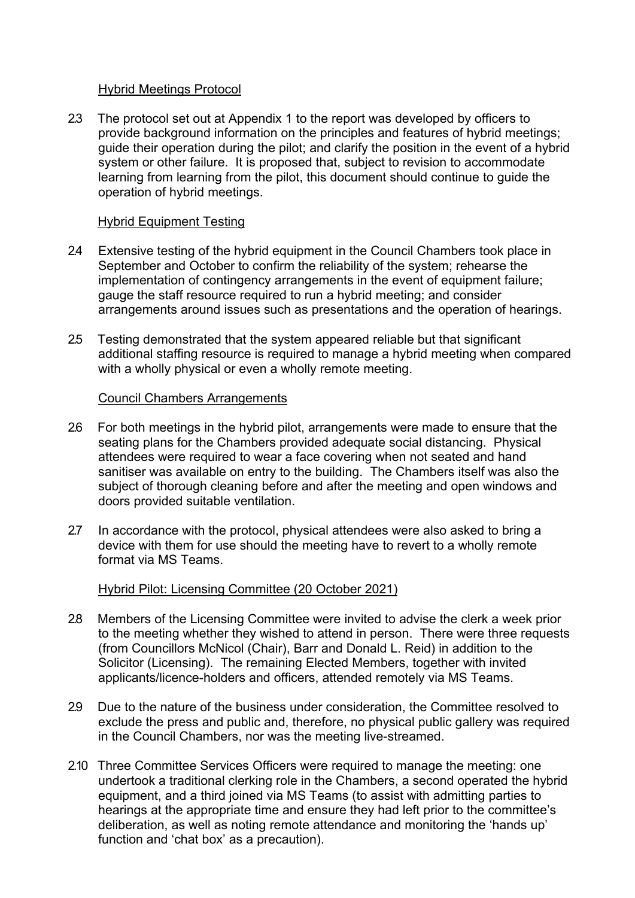#### Hybrid Meetings Protocol

2.3 The protocol set out at Appendix 1 to the report was developed by officers to provide background information on the principles and features of hybrid meetings; guide their operation during the pilot; and clarify the position in the event of a hybrid system or other failure. It is proposed that, subject to revision to accommodate learning from learning from the pilot, this document should continue to guide the operation of hybrid meetings.

### Hybrid Equipment Testing

- 24 Extensive testing of the hybrid equipment in the Council Chambers took place in September and October to confirm the reliability of the system; rehearse the implementation of contingency arrangements in the event of equipment failure; gauge the staff resource required to run a hybrid meeting; and consider arrangements around issues such as presentations and the operation of hearings.
- 2.5 Testing demonstrated that the system appeared reliable but that significant additional staffing resource is required to manage a hybrid meeting when compared with a wholly physical or even a wholly remote meeting.

### Council Chambers Arrangements

- 2.6 For both meetings in the hybrid pilot, arrangements were made to ensure that the seating plans for the Chambers provided adequate social distancing. Physical attendees were required to wear a face covering when not seated and hand sanitiser was available on entry to the building. The Chambers itself was also the subject of thorough cleaning before and after the meeting and open windows and doors provided suitable ventilation.
- 2.7 In accordance with the protocol, physical attendees were also asked to bring a device with them for use should the meeting have to revert to a wholly remote format via MS Teams.

# Hybrid Pilot: Licensing Committee (20 October 2021)

- 2.8 Members of the Licensing Committee were invited to advise the clerk a week prior to the meeting whether they wished to attend in person. There were three requests (from Councillors McNicol (Chair), Barr and Donald L. Reid) in addition to the Solicitor (Licensing). The remaining Elected Members, together with invited applicants/licence-holders and officers, attended remotely via MS Teams.
- 2.9 Due to the nature of the business under consideration, the Committee resolved to exclude the press and public and, therefore, no physical public gallery was required in the Council Chambers, nor was the meeting live-streamed.
- 2.10 Three Committee Services Officers were required to manage the meeting: one undertook a traditional clerking role in the Chambers, a second operated the hybrid equipment, and a third joined via MS Teams (to assist with admitting parties to hearings at the appropriate time and ensure they had left prior to the committee's deliberation, as well as noting remote attendance and monitoring the 'hands up' function and 'chat box' as a precaution).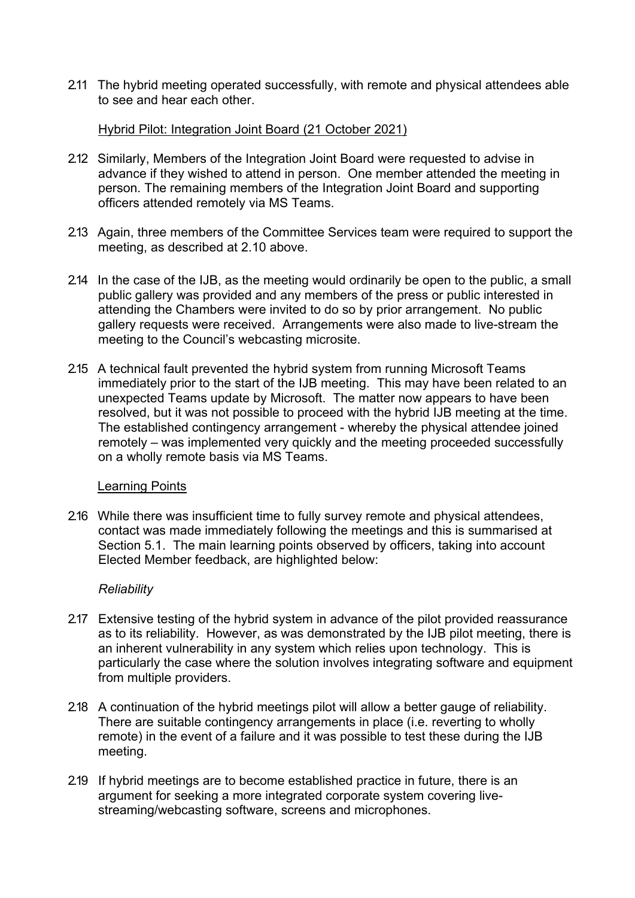2.11 The hybrid meeting operated successfully, with remote and physical attendees able to see and hear each other.

#### Hybrid Pilot: Integration Joint Board (21 October 2021)

- 2.12 Similarly, Members of the Integration Joint Board were requested to advise in advance if they wished to attend in person. One member attended the meeting in person. The remaining members of the Integration Joint Board and supporting officers attended remotely via MS Teams.
- 2.13 Again, three members of the Committee Services team were required to support the meeting, as described at 2.10 above.
- 2.14 In the case of the IJB, as the meeting would ordinarily be open to the public, a small public gallery was provided and any members of the press or public interested in attending the Chambers were invited to do so by prior arrangement. No public gallery requests were received. Arrangements were also made to live-stream the meeting to the Council's webcasting microsite.
- 2.15 A technical fault prevented the hybrid system from running Microsoft Teams immediately prior to the start of the IJB meeting. This may have been related to an unexpected Teams update by Microsoft. The matter now appears to have been resolved, but it was not possible to proceed with the hybrid IJB meeting at the time. The established contingency arrangement - whereby the physical attendee joined remotely – was implemented very quickly and the meeting proceeded successfully on a wholly remote basis via MS Teams.

#### Learning Points

2.16 While there was insufficient time to fully survey remote and physical attendees, contact was made immediately following the meetings and this is summarised at Section 5.1. The main learning points observed by officers, taking into account Elected Member feedback, are highlighted below:

#### *Reliability*

- 2.17 Extensive testing of the hybrid system in advance of the pilot provided reassurance as to its reliability. However, as was demonstrated by the IJB pilot meeting, there is an inherent vulnerability in any system which relies upon technology. This is particularly the case where the solution involves integrating software and equipment from multiple providers.
- 2.18 A continuation of the hybrid meetings pilot will allow a better gauge of reliability. There are suitable contingency arrangements in place (i.e. reverting to wholly remote) in the event of a failure and it was possible to test these during the IJB meeting.
- 2.19 If hybrid meetings are to become established practice in future, there is an argument for seeking a more integrated corporate system covering livestreaming/webcasting software, screens and microphones.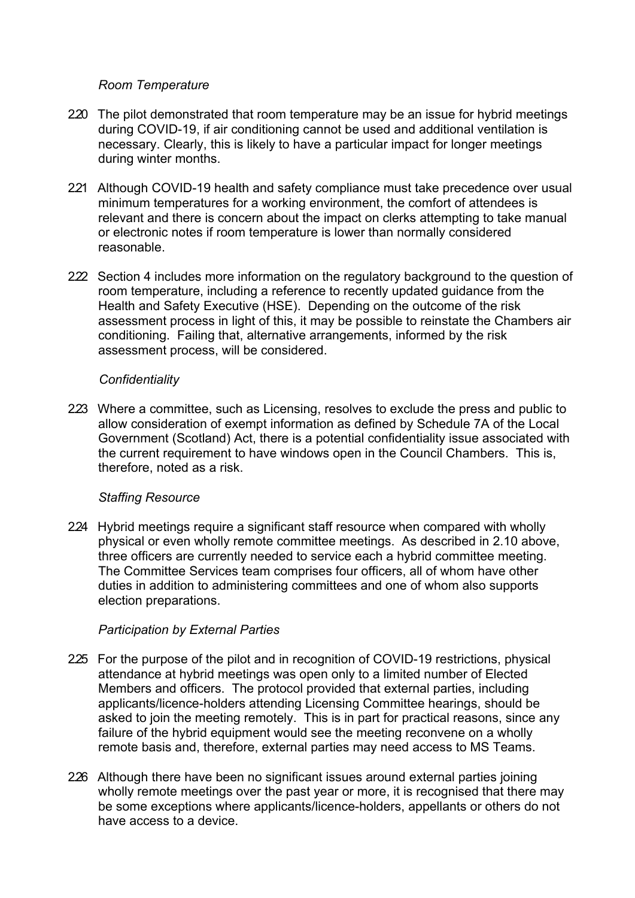### *Room Temperature*

- 2.20 The pilot demonstrated that room temperature may be an issue for hybrid meetings during COVID-19, if air conditioning cannot be used and additional ventilation is necessary. Clearly, this is likely to have a particular impact for longer meetings during winter months.
- 221 Although COVID-19 health and safety compliance must take precedence over usual minimum temperatures for a working environment, the comfort of attendees is relevant and there is concern about the impact on clerks attempting to take manual or electronic notes if room temperature is lower than normally considered reasonable.
- 2.22 Section 4 includes more information on the regulatory background to the question of room temperature, including a reference to recently updated guidance from the Health and Safety Executive (HSE). Depending on the outcome of the risk assessment process in light of this, it may be possible to reinstate the Chambers air conditioning. Failing that, alternative arrangements, informed by the risk assessment process, will be considered.

#### *Confidentiality*

223 Where a committee, such as Licensing, resolves to exclude the press and public to allow consideration of exempt information as defined by Schedule 7A of the Local Government (Scotland) Act, there is a potential confidentiality issue associated with the current requirement to have windows open in the Council Chambers. This is, therefore, noted as a risk.

# *Staffing Resource*

2.24 Hybrid meetings require a significant staff resource when compared with wholly physical or even wholly remote committee meetings. As described in 2.10 above, three officers are currently needed to service each a hybrid committee meeting. The Committee Services team comprises four officers, all of whom have other duties in addition to administering committees and one of whom also supports election preparations.

# *Participation by External Parties*

- 2.25 For the purpose of the pilot and in recognition of COVID-19 restrictions, physical attendance at hybrid meetings was open only to a limited number of Elected Members and officers. The protocol provided that external parties, including applicants/licence-holders attending Licensing Committee hearings, should be asked to join the meeting remotely. This is in part for practical reasons, since any failure of the hybrid equipment would see the meeting reconvene on a wholly remote basis and, therefore, external parties may need access to MS Teams.
- 2.26 Although there have been no significant issues around external parties joining wholly remote meetings over the past year or more, it is recognised that there may be some exceptions where applicants/licence-holders, appellants or others do not have access to a device.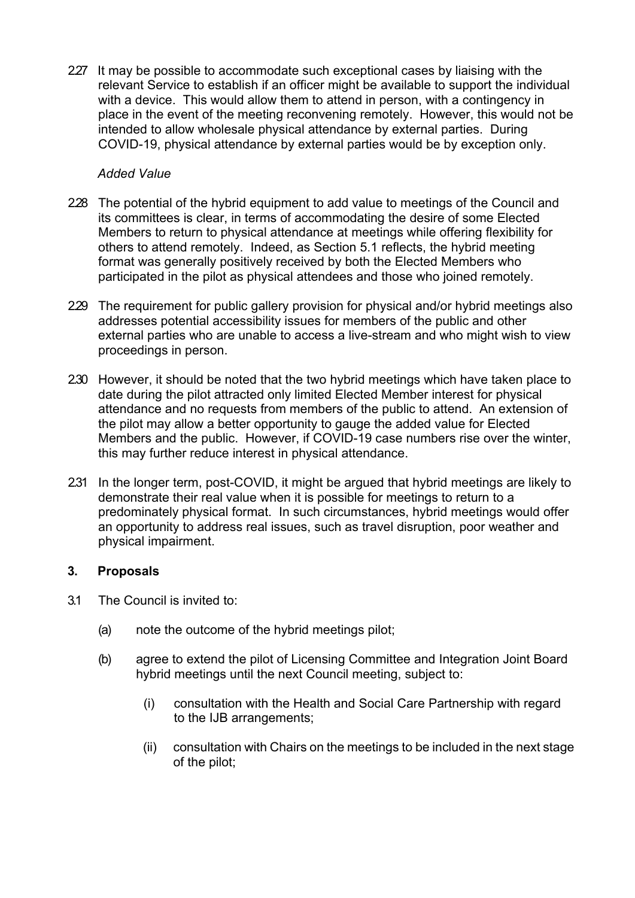227 It may be possible to accommodate such exceptional cases by liaising with the relevant Service to establish if an officer might be available to support the individual with a device. This would allow them to attend in person, with a contingency in place in the event of the meeting reconvening remotely. However, this would not be intended to allow wholesale physical attendance by external parties. During COVID-19, physical attendance by external parties would be by exception only.

#### *Added Value*

- 2.28 The potential of the hybrid equipment to add value to meetings of the Council and its committees is clear, in terms of accommodating the desire of some Elected Members to return to physical attendance at meetings while offering flexibility for others to attend remotely. Indeed, as Section 5.1 reflects, the hybrid meeting format was generally positively received by both the Elected Members who participated in the pilot as physical attendees and those who joined remotely.
- 2.29 The requirement for public gallery provision for physical and/or hybrid meetings also addresses potential accessibility issues for members of the public and other external parties who are unable to access a live-stream and who might wish to view proceedings in person.
- 2.30 However, it should be noted that the two hybrid meetings which have taken place to date during the pilot attracted only limited Elected Member interest for physical attendance and no requests from members of the public to attend. An extension of the pilot may allow a better opportunity to gauge the added value for Elected Members and the public. However, if COVID-19 case numbers rise over the winter, this may further reduce interest in physical attendance.
- 2.31 In the longer term, post-COVID, it might be argued that hybrid meetings are likely to demonstrate their real value when it is possible for meetings to return to a predominately physical format. In such circumstances, hybrid meetings would offer an opportunity to address real issues, such as travel disruption, poor weather and physical impairment.

# **3. Proposals**

- 3.1 The Council is invited to:
	- (a) note the outcome of the hybrid meetings pilot;
	- (b) agree to extend the pilot of Licensing Committee and Integration Joint Board hybrid meetings until the next Council meeting, subject to:
		- (i) consultation with the Health and Social Care Partnership with regard to the IJB arrangements;
		- (ii) consultation with Chairs on the meetings to be included in the next stage of the pilot;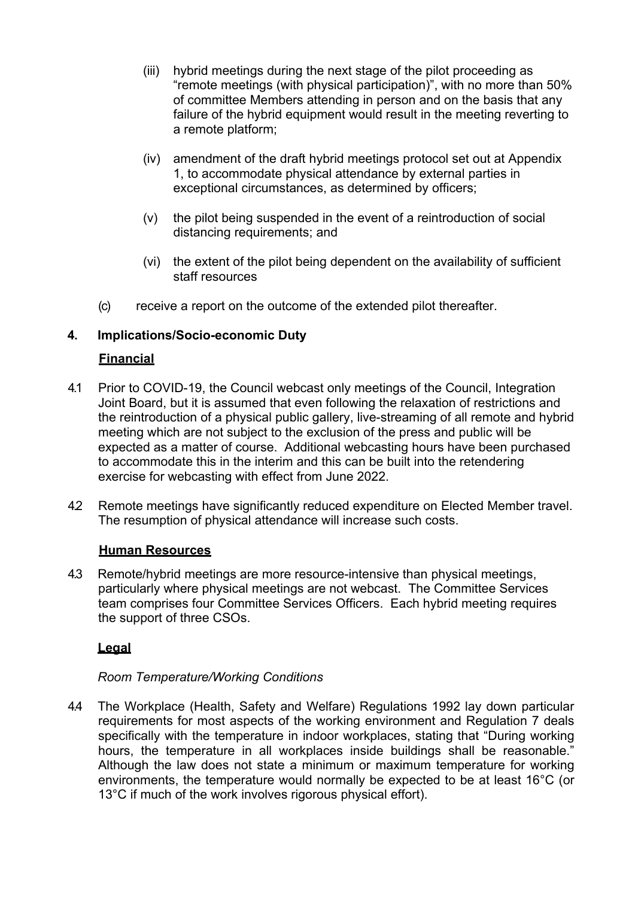- (iii) hybrid meetings during the next stage of the pilot proceeding as "remote meetings (with physical participation)", with no more than 50% of committee Members attending in person and on the basis that any failure of the hybrid equipment would result in the meeting reverting to a remote platform;
- (iv) amendment of the draft hybrid meetings protocol set out at Appendix 1, to accommodate physical attendance by external parties in exceptional circumstances, as determined by officers;
- (v) the pilot being suspended in the event of a reintroduction of social distancing requirements; and
- (vi) the extent of the pilot being dependent on the availability of sufficient staff resources
- (c) receive a report on the outcome of the extended pilot thereafter.

# **4. Implications/Socio-economic Duty**

# **Financial**

- 4.1 Prior to COVID-19, the Council webcast only meetings of the Council, Integration Joint Board, but it is assumed that even following the relaxation of restrictions and the reintroduction of a physical public gallery, live-streaming of all remote and hybrid meeting which are not subject to the exclusion of the press and public will be expected as a matter of course. Additional webcasting hours have been purchased to accommodate this in the interim and this can be built into the retendering exercise for webcasting with effect from June 2022.
- 4.2 Remote meetings have significantly reduced expenditure on Elected Member travel. The resumption of physical attendance will increase such costs.

#### **Human Resources**

4.3 Remote/hybrid meetings are more resource-intensive than physical meetings, particularly where physical meetings are not webcast. The Committee Services team comprises four Committee Services Officers. Each hybrid meeting requires the support of three CSOs.

# **Legal**

# *Room Temperature/Working Conditions*

4.4 The Workplace (Health, Safety and Welfare) Regulations 1992 lay down particular requirements for most aspects of the working environment and Regulation 7 deals specifically with the temperature in indoor workplaces, stating that "During working hours, the temperature in all workplaces inside buildings shall be reasonable." Although the law does not state a minimum or maximum temperature for working environments, the temperature would normally be expected to be at least 16°C (or 13°C if much of the work involves rigorous physical effort).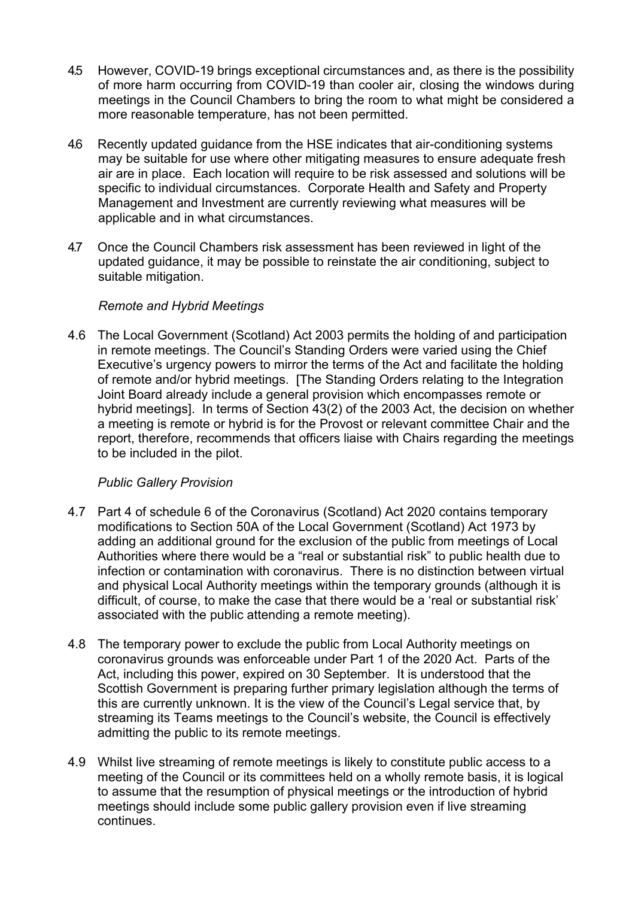- 4.5 However, COVID-19 brings exceptional circumstances and, as there is the possibility of more harm occurring from COVID-19 than cooler air, closing the windows during meetings in the Council Chambers to bring the room to what might be considered a more reasonable temperature, has not been permitted.
- 4.6 Recently updated guidance from the HSE indicates that air-conditioning systems may be suitable for use where other mitigating measures to ensure adequate fresh air are in place. Each location will require to be risk assessed and solutions will be specific to individual circumstances. Corporate Health and Safety and Property Management and Investment are currently reviewing what measures will be applicable and in what circumstances.
- 4.7 Once the Council Chambers risk assessment has been reviewed in light of the updated guidance, it may be possible to reinstate the air conditioning, subject to suitable mitigation.

### *Remote and Hybrid Meetings*

4.6 The Local Government (Scotland) Act 2003 permits the holding of and participation in remote meetings. The Council's Standing Orders were varied using the Chief Executive's urgency powers to mirror the terms of the Act and facilitate the holding of remote and/or hybrid meetings. [The Standing Orders relating to the Integration Joint Board already include a general provision which encompasses remote or hybrid meetings]. In terms of Section 43(2) of the 2003 Act, the decision on whether a meeting is remote or hybrid is for the Provost or relevant committee Chair and the report, therefore, recommends that officers liaise with Chairs regarding the meetings to be included in the pilot.

# *Public Gallery Provision*

- 4.7 Part 4 of schedule 6 of the Coronavirus (Scotland) Act 2020 contains temporary modifications to Section 50A of the Local Government (Scotland) Act 1973 by adding an additional ground for the exclusion of the public from meetings of Local Authorities where there would be a "real or substantial risk" to public health due to infection or contamination with coronavirus. There is no distinction between virtual and physical Local Authority meetings within the temporary grounds (although it is difficult, of course, to make the case that there would be a 'real or substantial risk' associated with the public attending a remote meeting).
- 4.8 The temporary power to exclude the public from Local Authority meetings on coronavirus grounds was enforceable under Part 1 of the 2020 Act. Parts of the Act, including this power, expired on 30 September. It is understood that the Scottish Government is preparing further primary legislation although the terms of this are currently unknown. It is the view of the Council's Legal service that, by streaming its Teams meetings to the Council's website, the Council is effectively admitting the public to its remote meetings.
- 4.9 Whilst live streaming of remote meetings is likely to constitute public access to a meeting of the Council or its committees held on a wholly remote basis, it is logical to assume that the resumption of physical meetings or the introduction of hybrid meetings should include some public gallery provision even if live streaming continues.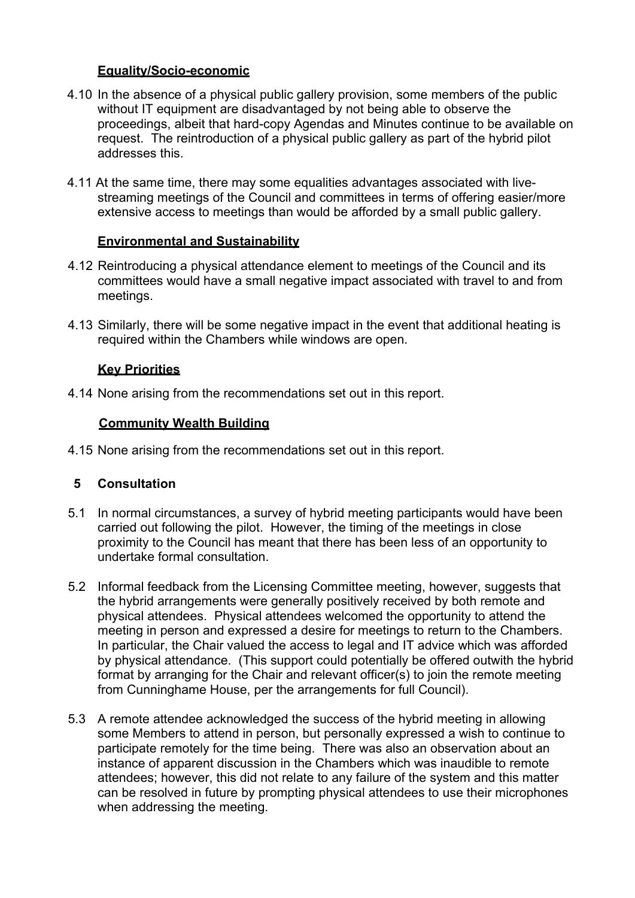#### **Equality/Socio-economic**

- 4.10 In the absence of a physical public gallery provision, some members of the public without IT equipment are disadvantaged by not being able to observe the proceedings, albeit that hard-copy Agendas and Minutes continue to be available on request. The reintroduction of a physical public gallery as part of the hybrid pilot addresses this.
- 4.11 At the same time, there may some equalities advantages associated with livestreaming meetings of the Council and committees in terms of offering easier/more extensive access to meetings than would be afforded by a small public gallery.

### **Environmental and Sustainability**

- 4.12 Reintroducing a physical attendance element to meetings of the Council and its committees would have a small negative impact associated with travel to and from meetings.
- 4.13 Similarly, there will be some negative impact in the event that additional heating is required within the Chambers while windows are open.

### **Key Priorities**

4.14 None arising from the recommendations set out in this report.

### **Community Wealth Building**

4.15 None arising from the recommendations set out in this report.

# **5 Consultation**

- 5.1 In normal circumstances, a survey of hybrid meeting participants would have been carried out following the pilot. However, the timing of the meetings in close proximity to the Council has meant that there has been less of an opportunity to undertake formal consultation.
- 5.2 Informal feedback from the Licensing Committee meeting, however, suggests that the hybrid arrangements were generally positively received by both remote and physical attendees. Physical attendees welcomed the opportunity to attend the meeting in person and expressed a desire for meetings to return to the Chambers. In particular, the Chair valued the access to legal and IT advice which was afforded by physical attendance. (This support could potentially be offered outwith the hybrid format by arranging for the Chair and relevant officer(s) to join the remote meeting from Cunninghame House, per the arrangements for full Council).
- 5.3 A remote attendee acknowledged the success of the hybrid meeting in allowing some Members to attend in person, but personally expressed a wish to continue to participate remotely for the time being. There was also an observation about an instance of apparent discussion in the Chambers which was inaudible to remote attendees; however, this did not relate to any failure of the system and this matter can be resolved in future by prompting physical attendees to use their microphones when addressing the meeting.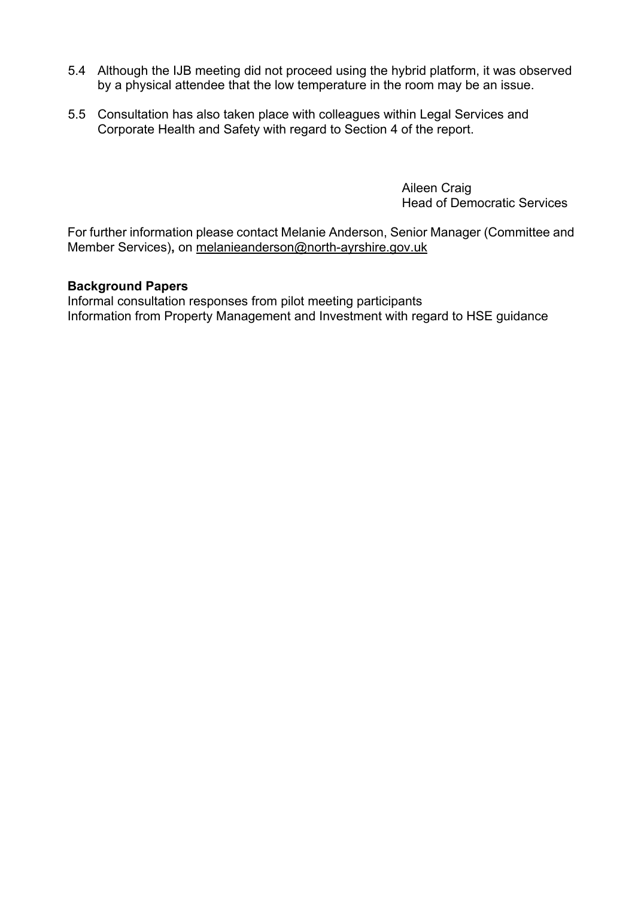- 5.4 Although the IJB meeting did not proceed using the hybrid platform, it was observed by a physical attendee that the low temperature in the room may be an issue.
- 5.5 Consultation has also taken place with colleagues within Legal Services and Corporate Health and Safety with regard to Section 4 of the report.

Aileen Craig Head of Democratic Services

For further information please contact Melanie Anderson, Senior Manager (Committee and Member Services)**,** on [melanieanderson@north-ayrshire.gov.uk](mailto:melanieanderson@north-ayrshire.gov.uk)

#### **Background Papers**

Informal consultation responses from pilot meeting participants Information from Property Management and Investment with regard to HSE guidance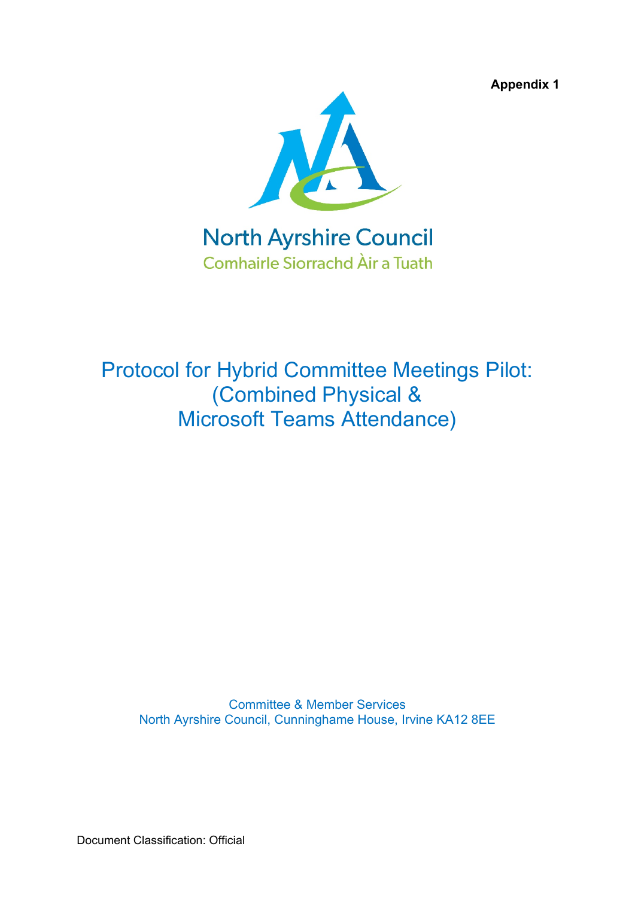**Appendix 1**



Protocol for Hybrid Committee Meetings Pilot: (Combined Physical & Microsoft Teams Attendance)

Committee & Member Services North Ayrshire Council, Cunninghame House, Irvine KA12 8EE

Document Classification: Official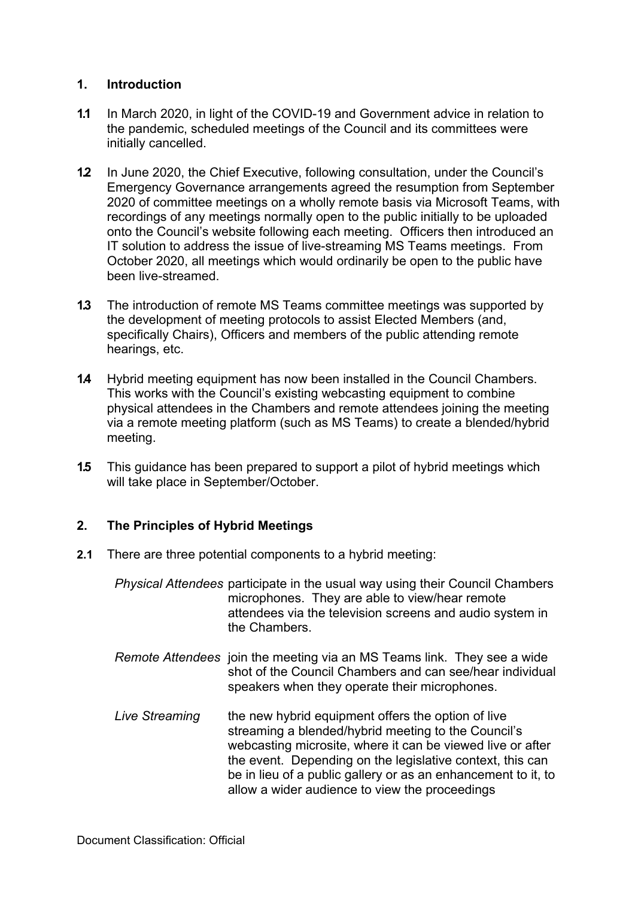### **1. Introduction**

- **1.1** In March 2020, in light of the COVID-19 and Government advice in relation to the pandemic, scheduled meetings of the Council and its committees were initially cancelled.
- **1.2** In June 2020, the Chief Executive, following consultation, under the Council's Emergency Governance arrangements agreed the resumption from September 2020 of committee meetings on a wholly remote basis via Microsoft Teams, with recordings of any meetings normally open to the public initially to be uploaded onto the Council's website following each meeting. Officers then introduced an IT solution to address the issue of live-streaming MS Teams meetings. From October 2020, all meetings which would ordinarily be open to the public have been live-streamed.
- **1.3** The introduction of remote MS Teams committee meetings was supported by the development of meeting protocols to assist Elected Members (and, specifically Chairs), Officers and members of the public attending remote hearings, etc.
- **1.4** Hybrid meeting equipment has now been installed in the Council Chambers. This works with the Council's existing webcasting equipment to combine physical attendees in the Chambers and remote attendees joining the meeting via a remote meeting platform (such as MS Teams) to create a blended/hybrid meeting.
- **1.5** This guidance has been prepared to support a pilot of hybrid meetings which will take place in September/October.

#### **2. The Principles of Hybrid Meetings**

- **2.1** There are three potential components to a hybrid meeting:
	- *Physical Attendees* participate in the usual way using their Council Chambers microphones. They are able to view/hear remote attendees via the television screens and audio system in the Chambers.
	- *Remote Attendees* join the meeting via an MS Teams link. They see a wide shot of the Council Chambers and can see/hear individual speakers when they operate their microphones.
	- Live Streaming the new hybrid equipment offers the option of live streaming a blended/hybrid meeting to the Council's webcasting microsite, where it can be viewed live or after the event. Depending on the legislative context, this can be in lieu of a public gallery or as an enhancement to it, to allow a wider audience to view the proceedings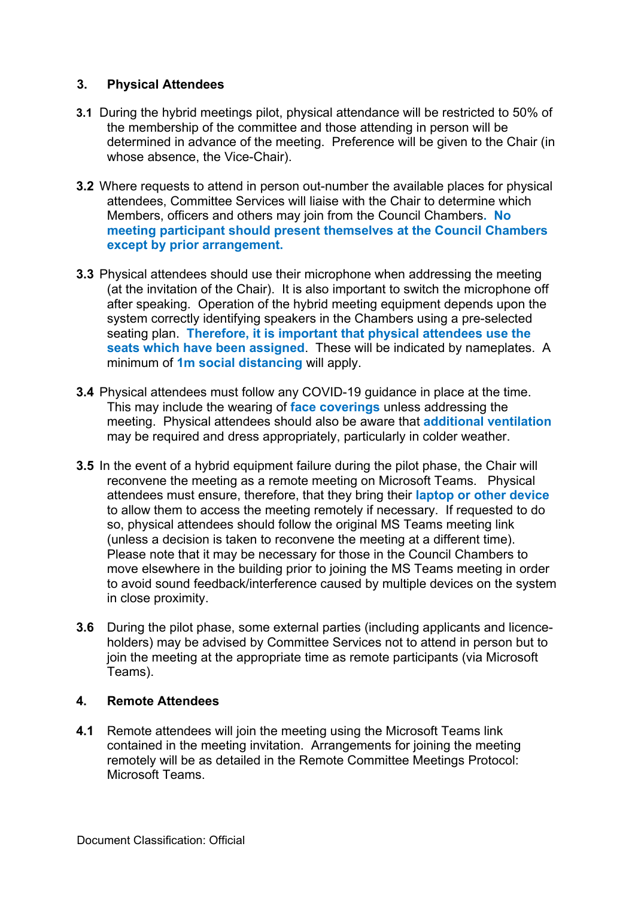### **3. Physical Attendees**

- **3.1** During the hybrid meetings pilot, physical attendance will be restricted to 50% of the membership of the committee and those attending in person will be determined in advance of the meeting. Preference will be given to the Chair (in whose absence, the Vice-Chair).
- **3.2** Where requests to attend in person out-number the available places for physical attendees, Committee Services will liaise with the Chair to determine which Members, officers and others may join from the Council Chambers**. No meeting participant should present themselves at the Council Chambers except by prior arrangement.**
- **3.3** Physical attendees should use their microphone when addressing the meeting (at the invitation of the Chair). It is also important to switch the microphone off after speaking. Operation of the hybrid meeting equipment depends upon the system correctly identifying speakers in the Chambers using a pre-selected seating plan. **Therefore, it is important that physical attendees use the seats which have been assigned**. These will be indicated by nameplates. A minimum of **1m social distancing** will apply.
- **3.4** Physical attendees must follow any COVID-19 guidance in place at the time. This may include the wearing of **face coverings** unless addressing the meeting. Physical attendees should also be aware that **additional ventilation** may be required and dress appropriately, particularly in colder weather.
- **3.5** In the event of a hybrid equipment failure during the pilot phase, the Chair will reconvene the meeting as a remote meeting on Microsoft Teams. Physical attendees must ensure, therefore, that they bring their **laptop or other device** to allow them to access the meeting remotely if necessary. If requested to do so, physical attendees should follow the original MS Teams meeting link (unless a decision is taken to reconvene the meeting at a different time). Please note that it may be necessary for those in the Council Chambers to move elsewhere in the building prior to joining the MS Teams meeting in order to avoid sound feedback/interference caused by multiple devices on the system in close proximity.
- **3.6** During the pilot phase, some external parties (including applicants and licenceholders) may be advised by Committee Services not to attend in person but to join the meeting at the appropriate time as remote participants (via Microsoft Teams).

#### **4. Remote Attendees**

**4.1** Remote attendees will join the meeting using the Microsoft Teams link contained in the meeting invitation. Arrangements for joining the meeting remotely will be as detailed in the Remote Committee Meetings Protocol: Microsoft Teams.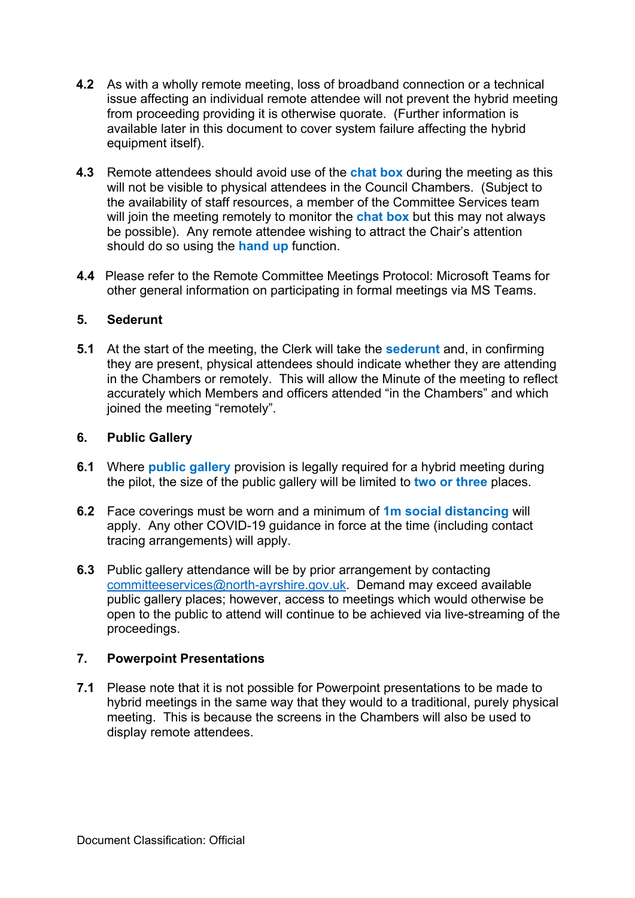- **4.2** As with a wholly remote meeting, loss of broadband connection or a technical issue affecting an individual remote attendee will not prevent the hybrid meeting from proceeding providing it is otherwise quorate. (Further information is available later in this document to cover system failure affecting the hybrid equipment itself).
- **4.3** Remote attendees should avoid use of the **chat box** during the meeting as this will not be visible to physical attendees in the Council Chambers. (Subject to the availability of staff resources, a member of the Committee Services team will join the meeting remotely to monitor the **chat box** but this may not always be possible). Any remote attendee wishing to attract the Chair's attention should do so using the **hand up** function.
- **4.4** Please refer to the Remote Committee Meetings Protocol: Microsoft Teams for other general information on participating in formal meetings via MS Teams.

### **5. Sederunt**

**5.1** At the start of the meeting, the Clerk will take the **sederunt** and, in confirming they are present, physical attendees should indicate whether they are attending in the Chambers or remotely. This will allow the Minute of the meeting to reflect accurately which Members and officers attended "in the Chambers" and which joined the meeting "remotely".

### **6. Public Gallery**

- **6.1** Where **public gallery** provision is legally required for a hybrid meeting during the pilot, the size of the public gallery will be limited to **two or three** places.
- **6.2** Face coverings must be worn and a minimum of **1m social distancing** will apply. Any other COVID-19 guidance in force at the time (including contact tracing arrangements) will apply.
- **6.3** Public gallery attendance will be by prior arrangement by contacting [committeeservices@north-ayrshire.gov.uk.](mailto:committeeservices@north-ayrshire.gov.uk) Demand may exceed available public gallery places; however, access to meetings which would otherwise be open to the public to attend will continue to be achieved via live-streaming of the proceedings.

#### **7. Powerpoint Presentations**

**7.1** Please note that it is not possible for Powerpoint presentations to be made to hybrid meetings in the same way that they would to a traditional, purely physical meeting. This is because the screens in the Chambers will also be used to display remote attendees.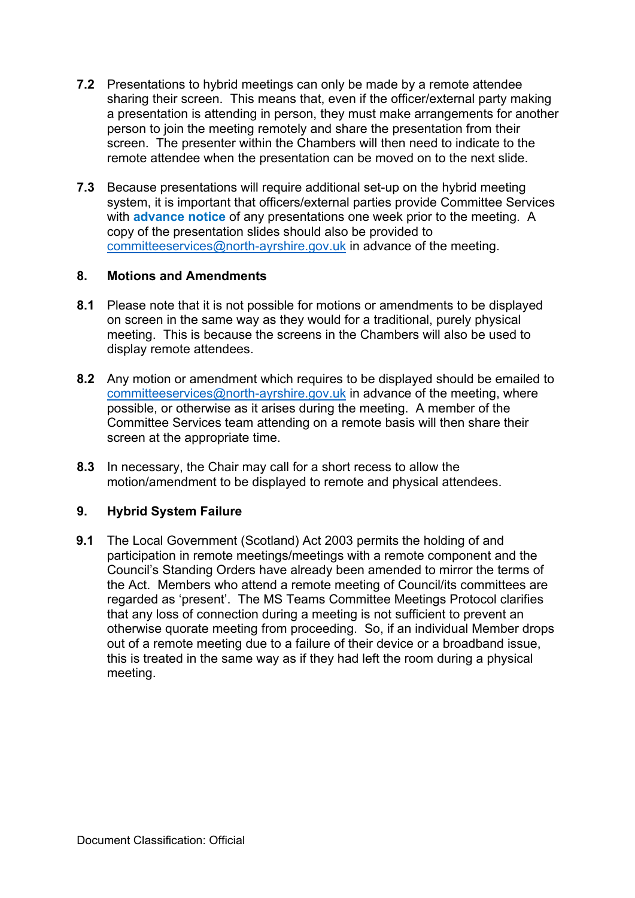- **7.2** Presentations to hybrid meetings can only be made by a remote attendee sharing their screen. This means that, even if the officer/external party making a presentation is attending in person, they must make arrangements for another person to join the meeting remotely and share the presentation from their screen. The presenter within the Chambers will then need to indicate to the remote attendee when the presentation can be moved on to the next slide.
- **7.3** Because presentations will require additional set-up on the hybrid meeting system, it is important that officers/external parties provide Committee Services with **advance notice** of any presentations one week prior to the meeting. A copy of the presentation slides should also be provided to [committeeservices@north-ayrshire.gov.uk](mailto:committeeservices@north-ayrshire.gov.uk) in advance of the meeting.

#### **8. Motions and Amendments**

- **8.1** Please note that it is not possible for motions or amendments to be displayed on screen in the same way as they would for a traditional, purely physical meeting. This is because the screens in the Chambers will also be used to display remote attendees.
- **8.2** Any motion or amendment which requires to be displayed should be emailed to [committeeservices@north-ayrshire.gov.uk](mailto:committeeservices@north-ayrshire.gov.uk) in advance of the meeting, where possible, or otherwise as it arises during the meeting. A member of the Committee Services team attending on a remote basis will then share their screen at the appropriate time.
- **8.3** In necessary, the Chair may call for a short recess to allow the motion/amendment to be displayed to remote and physical attendees.

# **9. Hybrid System Failure**

**9.1** The Local Government (Scotland) Act 2003 permits the holding of and participation in remote meetings/meetings with a remote component and the Council's Standing Orders have already been amended to mirror the terms of the Act. Members who attend a remote meeting of Council/its committees are regarded as 'present'. The MS Teams Committee Meetings Protocol clarifies that any loss of connection during a meeting is not sufficient to prevent an otherwise quorate meeting from proceeding. So, if an individual Member drops out of a remote meeting due to a failure of their device or a broadband issue, this is treated in the same way as if they had left the room during a physical meeting.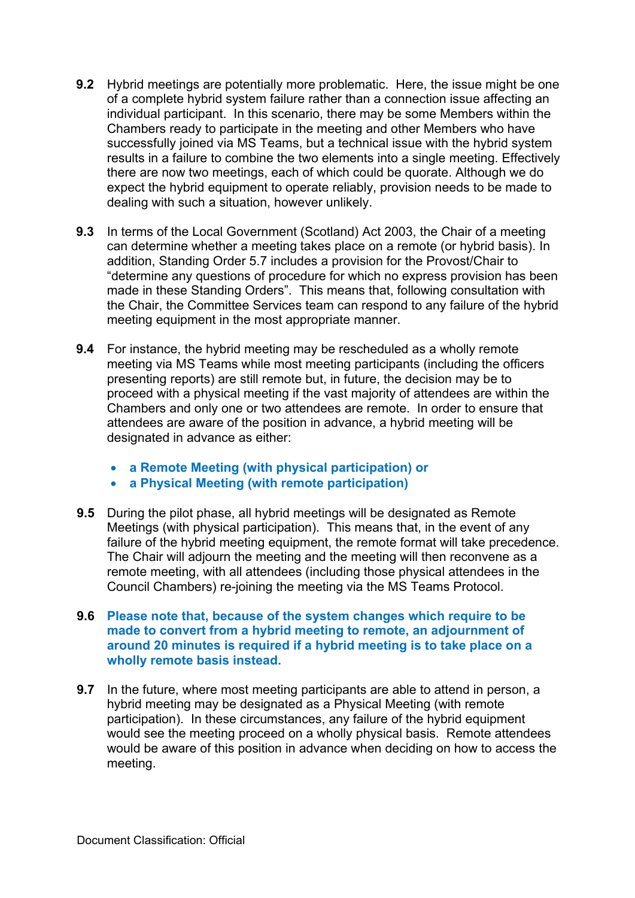- **9.2** Hybrid meetings are potentially more problematic. Here, the issue might be one of a complete hybrid system failure rather than a connection issue affecting an individual participant. In this scenario, there may be some Members within the Chambers ready to participate in the meeting and other Members who have successfully joined via MS Teams, but a technical issue with the hybrid system results in a failure to combine the two elements into a single meeting. Effectively there are now two meetings, each of which could be quorate. Although we do expect the hybrid equipment to operate reliably, provision needs to be made to dealing with such a situation, however unlikely.
- **9.3** In terms of the Local Government (Scotland) Act 2003, the Chair of a meeting can determine whether a meeting takes place on a remote (or hybrid basis). In addition, Standing Order 5.7 includes a provision for the Provost/Chair to "determine any questions of procedure for which no express provision has been made in these Standing Orders". This means that, following consultation with the Chair, the Committee Services team can respond to any failure of the hybrid meeting equipment in the most appropriate manner.
- **9.4** For instance, the hybrid meeting may be rescheduled as a wholly remote meeting via MS Teams while most meeting participants (including the officers presenting reports) are still remote but, in future, the decision may be to proceed with a physical meeting if the vast majority of attendees are within the Chambers and only one or two attendees are remote. In order to ensure that attendees are aware of the position in advance, a hybrid meeting will be designated in advance as either:
	- **a Remote Meeting (with physical participation) or**
	- **a Physical Meeting (with remote participation)**
- **9.5** During the pilot phase, all hybrid meetings will be designated as Remote Meetings (with physical participation). This means that, in the event of any failure of the hybrid meeting equipment, the remote format will take precedence. The Chair will adjourn the meeting and the meeting will then reconvene as a remote meeting, with all attendees (including those physical attendees in the Council Chambers) re-joining the meeting via the MS Teams Protocol.
- **9.6 Please note that, because of the system changes which require to be made to convert from a hybrid meeting to remote, an adjournment of around 20 minutes is required if a hybrid meeting is to take place on a wholly remote basis instead.**
- **9.7** In the future, where most meeting participants are able to attend in person, a hybrid meeting may be designated as a Physical Meeting (with remote participation). In these circumstances, any failure of the hybrid equipment would see the meeting proceed on a wholly physical basis. Remote attendees would be aware of this position in advance when deciding on how to access the meeting.